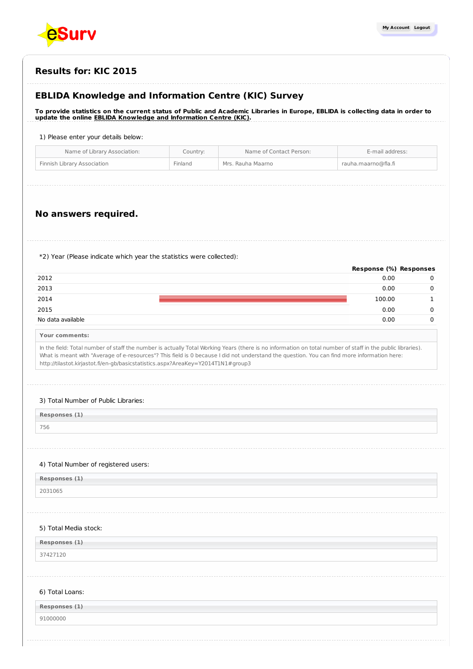

| <b>Results for: KIC 2015</b> |  |
|------------------------------|--|
|------------------------------|--|

# **EBLIDA Knowledge and Information Centre (KIC) Survey**

To provide statistics on the current status of Public and Academic Libraries in Europe, EBLIDA is collecting data in order to **update the online EBLIDA Knowledge and [Information](http://www.eblida.org/activities/kic/) Centre (KIC).**

#### 1) Please enter your details below:

| Name of Library Association: | Country: | Name of Contact Person: | E-mail address:     |
|------------------------------|----------|-------------------------|---------------------|
| Finnish Library Association  | Finland  | Mrs. Rauha Maarno       | rauha.maarno@fla.fi |

# **No answers required.**

\*2) Year (Please indicate which year the statistics were collected):

|                   | Response (%) Responses |  |
|-------------------|------------------------|--|
| 2012              | 0.00                   |  |
| 2013              | 0.00                   |  |
| 2014              | 100.00                 |  |
| 2015              | 0.00                   |  |
| No data available | 0.00                   |  |

|  | Your comments: |
|--|----------------|
|--|----------------|

In the field: Total number of staff the number is actually Total Working Years (there is no information on total number of staff in the public libraries). What is meant with "Average of e-resources"? This field is 0 because I did not understand the question. You can find more information here: http://tilastot.kirjastot.fi/en-gb/basicstatistics.aspx?AreaKey=Y2014T1N1#group3

#### 3) Total Number of Public Libraries:

| Responses (1) |  |
|---------------|--|
|---------------|--|

756

## 4) Total Number of registered users:

| Responses (1) |  |
|---------------|--|
| 2031065       |  |

#### 5) Total Media stock:

**Responses (1)** 37427120

#### 6) Total Loans:

| Responses (1) |  |
|---------------|--|
| 91000000      |  |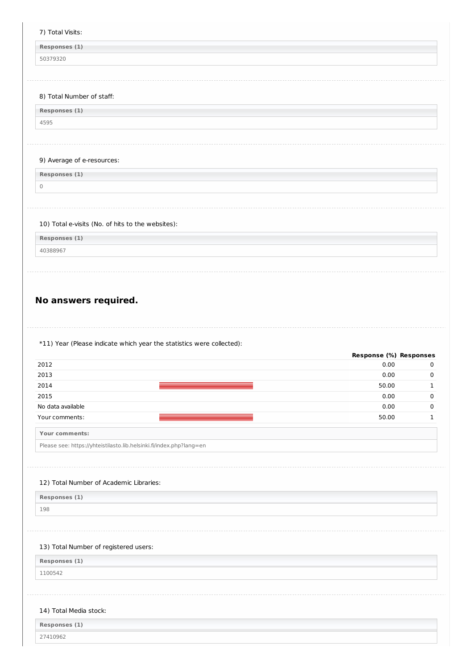# 7) Total Visits:

**Responses (1)**

50379320

#### 8) Total Number of staff:

| Responses (1) |  |
|---------------|--|
| 4595          |  |

## 9) Average of e-resources:

**Responses (1)** 0

# 10) Total e-visits (No. of hits to the websites):

**Responses (1)**

40388967

 $\overline{\phantom{a}}$ 

 $\mathcal{L}$ 

# **No answers required.**

\*11) Year (Please indicate which year the statistics were collected):

| 0.00<br>0<br>0.00<br>$\mathbf 0$<br>50.00<br>$\mathbf{1}$<br>0.00<br>$\mathbf 0$<br>0.00<br>$\mathbf 0$<br>50.00<br>$\mathbf{1}$<br>13) Total Number of registered users: |                                                                     | Response (%) Responses |  |
|---------------------------------------------------------------------------------------------------------------------------------------------------------------------------|---------------------------------------------------------------------|------------------------|--|
|                                                                                                                                                                           | 2012                                                                |                        |  |
|                                                                                                                                                                           | 2013                                                                |                        |  |
|                                                                                                                                                                           | 2014                                                                |                        |  |
|                                                                                                                                                                           | 2015                                                                |                        |  |
|                                                                                                                                                                           | No data available                                                   |                        |  |
|                                                                                                                                                                           | Your comments:                                                      |                        |  |
|                                                                                                                                                                           | Your comments:                                                      |                        |  |
|                                                                                                                                                                           | Please see: https://yhteistilasto.lib.helsinki.fi/index.php?lang=en |                        |  |
|                                                                                                                                                                           |                                                                     |                        |  |
|                                                                                                                                                                           |                                                                     |                        |  |
|                                                                                                                                                                           | 12) Total Number of Academic Libraries:                             |                        |  |
|                                                                                                                                                                           | Responses (1)                                                       |                        |  |
|                                                                                                                                                                           | 198                                                                 |                        |  |
|                                                                                                                                                                           |                                                                     |                        |  |
|                                                                                                                                                                           |                                                                     |                        |  |
|                                                                                                                                                                           |                                                                     |                        |  |
|                                                                                                                                                                           | Responses (1)                                                       |                        |  |
|                                                                                                                                                                           | 1100542                                                             |                        |  |
|                                                                                                                                                                           |                                                                     |                        |  |
|                                                                                                                                                                           |                                                                     |                        |  |
|                                                                                                                                                                           | 14) Total Media stock:                                              |                        |  |
|                                                                                                                                                                           | Responses (1)                                                       |                        |  |
|                                                                                                                                                                           | 27410962                                                            |                        |  |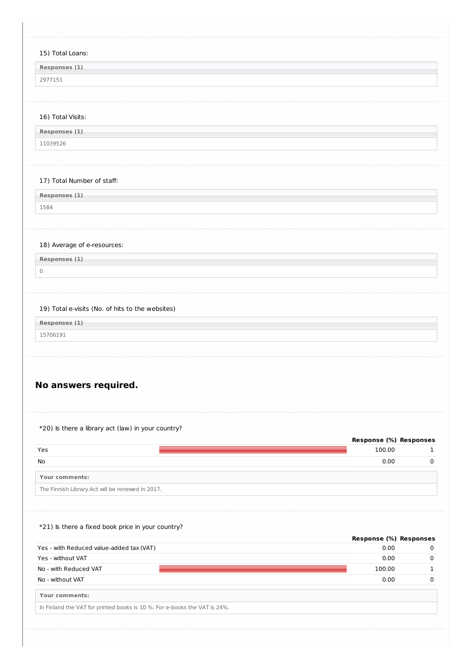| 15) Total Loans:                                                                                                                                                                                                   |                        |                       |
|--------------------------------------------------------------------------------------------------------------------------------------------------------------------------------------------------------------------|------------------------|-----------------------|
| Responses (1)                                                                                                                                                                                                      |                        |                       |
| 2977151                                                                                                                                                                                                            |                        |                       |
|                                                                                                                                                                                                                    |                        |                       |
|                                                                                                                                                                                                                    |                        |                       |
| 16) Total Visits:                                                                                                                                                                                                  |                        |                       |
| Responses (1)                                                                                                                                                                                                      |                        |                       |
| 11039526                                                                                                                                                                                                           |                        |                       |
|                                                                                                                                                                                                                    |                        |                       |
| 17) Total Number of staff:                                                                                                                                                                                         |                        |                       |
| Responses (1)                                                                                                                                                                                                      |                        |                       |
| 1584                                                                                                                                                                                                               |                        |                       |
|                                                                                                                                                                                                                    |                        |                       |
|                                                                                                                                                                                                                    |                        |                       |
| 18) Average of e-resources:                                                                                                                                                                                        |                        |                       |
| Responses (1)                                                                                                                                                                                                      |                        |                       |
| $\mathbb O$                                                                                                                                                                                                        |                        |                       |
|                                                                                                                                                                                                                    |                        |                       |
|                                                                                                                                                                                                                    |                        |                       |
| 19) Total e-visits (No. of hits to the websites)                                                                                                                                                                   |                        |                       |
|                                                                                                                                                                                                                    |                        |                       |
| Responses (1)                                                                                                                                                                                                      |                        |                       |
| 15706191                                                                                                                                                                                                           |                        |                       |
|                                                                                                                                                                                                                    |                        |                       |
|                                                                                                                                                                                                                    |                        |                       |
|                                                                                                                                                                                                                    |                        |                       |
|                                                                                                                                                                                                                    |                        |                       |
|                                                                                                                                                                                                                    |                        |                       |
|                                                                                                                                                                                                                    |                        |                       |
|                                                                                                                                                                                                                    |                        |                       |
|                                                                                                                                                                                                                    | Response (%) Responses |                       |
|                                                                                                                                                                                                                    | 100.00<br>0.00         |                       |
|                                                                                                                                                                                                                    |                        |                       |
|                                                                                                                                                                                                                    |                        |                       |
|                                                                                                                                                                                                                    |                        |                       |
|                                                                                                                                                                                                                    |                        |                       |
| No answers required.<br>*20) Is there a library act (law) in your country?<br>Yes<br>No<br>Your comments:<br>The Finnish Library Act will be renewed in 2017.<br>*21) Is there a fixed book price in your country? |                        |                       |
|                                                                                                                                                                                                                    | Response (%) Responses |                       |
|                                                                                                                                                                                                                    | 0.00                   |                       |
| Yes - with Reduced value-added tax (VAT)<br>Yes - without VAT<br>No - with Reduced VAT                                                                                                                             | 0.00<br>100.00         | 1<br>0<br>0<br>0<br>1 |